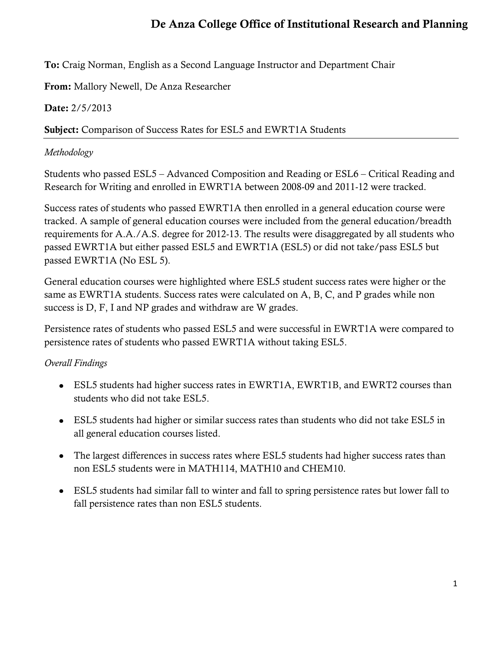# **De Anza College Office of Institutional Research and Planning**

**To:** Craig Norman, English as a Second Language Instructor and Department Chair

**From:** Mallory Newell, De Anza Researcher

## **Date:** 2/5/2013

### **Subject:** Comparison of Success Rates for ESL5 and EWRT1A Students

### *Methodology*

Students who passed ESL5 – Advanced Composition and Reading or ESL6 – Critical Reading and Research for Writing and enrolled in EWRT1A between 2008-09 and 2011-12 were tracked.

Success rates of students who passed EWRT1A then enrolled in a general education course were tracked. A sample of general education courses were included from the general education/breadth requirements for A.A./A.S. degree for 2012-13. The results were disaggregated by all students who passed EWRT1A but either passed ESL5 and EWRT1A (ESL5) or did not take/pass ESL5 but passed EWRT1A (No ESL 5).

General education courses were highlighted where ESL5 student success rates were higher or the same as EWRT1A students. Success rates were calculated on A, B, C, and P grades while non success is D, F, I and NP grades and withdraw are W grades.

Persistence rates of students who passed ESL5 and were successful in EWRT1A were compared to persistence rates of students who passed EWRT1A without taking ESL5.

# *Overall Findings*

- ESL5 students had higher success rates in EWRT1A, EWRT1B, and EWRT2 courses than students who did not take ESL5.
- ESL5 students had higher or similar success rates than students who did not take ESL5 in all general education courses listed.
- The largest differences in success rates where ESL5 students had higher success rates than non ESL5 students were in MATH114, MATH10 and CHEM10.
- ESL5 students had similar fall to winter and fall to spring persistence rates but lower fall to fall persistence rates than non ESL5 students.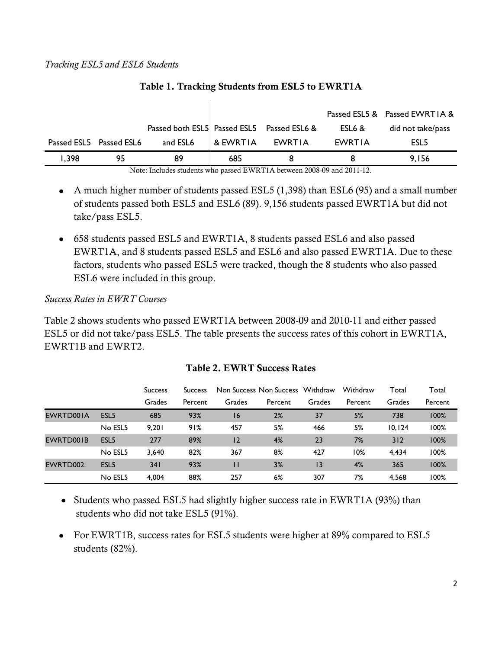|       |                         |                                                 |          |        |        | Passed ESL5 & Passed EWRTIA & |
|-------|-------------------------|-------------------------------------------------|----------|--------|--------|-------------------------------|
|       |                         | Passed both ESL5   Passed ESL5    Passed ESL6 & |          |        | ESL6 & | did not take/pass             |
|       | Passed ESL5 Passed ESL6 | and ESL6                                        | & EWRTIA | EWRTIA | EWRTIA | ESL <sub>5</sub>              |
| 1,398 | 95                      | 89                                              | 685      | 8      |        | 9.156                         |

#### **Table 1. Tracking Students from ESL5 to EWRT1A**

Note: Includes students who passed EWRT1A between 2008-09 and 2011-12.

- A much higher number of students passed ESL5 (1,398) than ESL6 (95) and a small number of students passed both ESL5 and ESL6 (89). 9,156 students passed EWRT1A but did not take/pass ESL5.
- 658 students passed ESL5 and EWRT1A, 8 students passed ESL6 and also passed EWRT1A, and 8 students passed ESL5 and ESL6 and also passed EWRT1A. Due to these factors, students who passed ESL5 were tracked, though the 8 students who also passed ESL6 were included in this group.

#### *Success Rates in EWRT Courses*

Table 2 shows students who passed EWRT1A between 2008-09 and 2010-11 and either passed ESL5 or did not take/pass ESL5. The table presents the success rates of this cohort in EWRT1A, EWRT1B and EWRT2.

|           |                  | <b>Success</b> | <b>Success</b> |        | Non Success Non Success Withdraw |                 | Withdraw | Total  | Total   |
|-----------|------------------|----------------|----------------|--------|----------------------------------|-----------------|----------|--------|---------|
|           |                  | Grades         | Percent        | Grades | Percent                          | Grades          | Percent  | Grades | Percent |
| EWRTD001A | ESL <sub>5</sub> | 685            | 93%            | 16     | 2%                               | 37              | 5%       | 738    | 100%    |
|           | No ESL5          | 9.201          | 91%            | 457    | 5%                               | 466             | 5%       | 10.124 | 100%    |
| EWRTD001B | ESL <sub>5</sub> | 277            | 89%            | 12     | 4%                               | 23              | 7%       | 312    | 100%    |
|           | No ESL5          | 3,640          | 82%            | 367    | 8%                               | 427             | 10%      | 4,434  | 100%    |
| EWRTD002. | ESL <sub>5</sub> | 341            | 93%            | П      | 3%                               | $\overline{13}$ | 4%       | 365    | 100%    |
|           | No ESL5          | 4,004          | 88%            | 257    | 6%                               | 307             | 7%       | 4,568  | 100%    |

#### **Table 2. EWRT Success Rates**

• Students who passed ESL5 had slightly higher success rate in EWRT1A (93%) than students who did not take ESL5 (91%).

• For EWRT1B, success rates for ESL5 students were higher at 89% compared to ESL5 students (82%).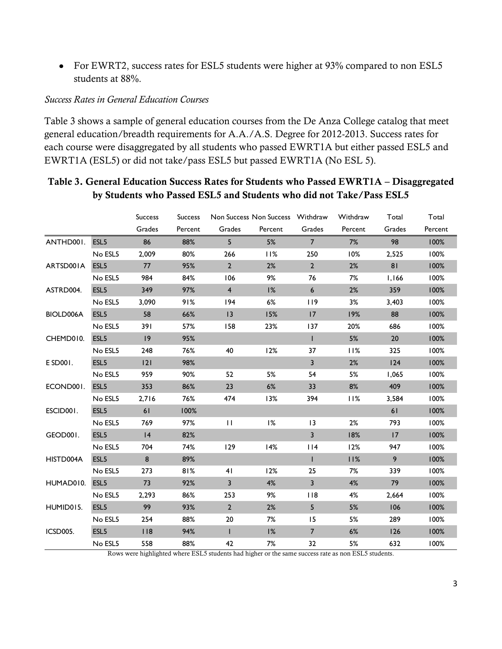• For EWRT2, success rates for ESL5 students were higher at 93% compared to non ESL5 students at 88%.

#### *Success Rates in General Education Courses*

Table 3 shows a sample of general education courses from the De Anza College catalog that meet general education/breadth requirements for A.A./A.S. Degree for 2012-2013. Success rates for each course were disaggregated by all students who passed EWRT1A but either passed ESL5 and EWRT1A (ESL5) or did not take/pass ESL5 but passed EWRT1A (No ESL 5).

### **Table 3. General Education Success Rates for Students who Passed EWRT1A – Disaggregated by Students who Passed ESL5 and Students who did not Take/Pass ESL5**

|           |                  | <b>Success</b> | <b>Success</b> | Non Success Non Success Withdraw |         |                         | Withdraw | Total  | Total   |
|-----------|------------------|----------------|----------------|----------------------------------|---------|-------------------------|----------|--------|---------|
|           |                  | Grades         | Percent        | Grades                           | Percent | Grades                  | Percent  | Grades | Percent |
| ANTHD001. | ESL <sub>5</sub> | 86             | 88%            | 5 <sup>1</sup>                   | 5%      | 7 <sup>7</sup>          | 7%       | 98     | 100%    |
|           | No ESL5          | 2,009          | 80%            | 266                              | 11%     | 250                     | 10%      | 2,525  | 100%    |
| ARTSD001A | ESL <sub>5</sub> | 77             | 95%            | $2^{\circ}$                      | 2%      | $\overline{2}$          | 2%       | 81     | 100%    |
|           | No ESL5          | 984            | 84%            | 106                              | 9%      | 76                      | 7%       | 1,166  | 100%    |
| ASTRD004. | ESL <sub>5</sub> | 349            | 97%            | $\overline{4}$                   | 1%      | 6                       | 2%       | 359    | 100%    |
|           | No ESL5          | 3,090          | 91%            | 194                              | 6%      | 119                     | 3%       | 3,403  | 100%    |
| BIOLD006A | ESL5             | 58             | 66%            | 3                                | 15%     | 17                      | 19%      | 88     | 100%    |
|           | No ESL5          | 391            | 57%            | 158                              | 23%     | 137                     | 20%      | 686    | 100%    |
| CHEMD010. | ESL <sub>5</sub> | 9              | 95%            |                                  |         | $\mathbf{I}$            | 5%       | 20     | 100%    |
|           | No ESL5          | 248            | 76%            | 40                               | 12%     | 37                      | 11%      | 325    | 100%    |
| E SD001.  | ESL <sub>5</sub> | 2              | 98%            |                                  |         | $\overline{3}$          | 2%       | 124    | 100%    |
|           | No ESL5          | 959            | 90%            | 52                               | 5%      | 54                      | 5%       | 1,065  | 100%    |
| ECOND001. | ESL <sub>5</sub> | 353            | 86%            | 23                               | 6%      | 33                      | 8%       | 409    | 100%    |
|           | No ESL5          | 2,716          | 76%            | 474                              | 13%     | 394                     | 11%      | 3,584  | 100%    |
| ESCID001. | ESL5             | 61             | 100%           |                                  |         |                         |          | 61     | 100%    |
|           | No ESL5          | 769            | 97%            | $\mathbf{H}$                     | 1%      | $ 3\rangle$             | 2%       | 793    | 100%    |
| GEOD001.  | ESL <sub>5</sub> | 4              | 82%            |                                  |         | $\overline{3}$          | 18%      | 17     | 100%    |
|           | No ESL5          | 704            | 74%            | 129                              | 14%     | $ $   4                 | 12%      | 947    | 100%    |
| HISTD004A | ESL <sub>5</sub> | 8              | 89%            |                                  |         | $\mathbf{I}$            | 11%      | 9      | 100%    |
|           | No ESL5          | 273            | 81%            | 41                               | 12%     | 25                      | 7%       | 339    | 100%    |
| HUMAD010. | ESL <sub>5</sub> | 73             | 92%            | $\overline{\mathbf{3}}$          | 4%      | $\overline{\mathbf{3}}$ | 4%       | 79     | 100%    |
|           | No ESL5          | 2,293          | 86%            | 253                              | 9%      | 118                     | 4%       | 2,664  | 100%    |
| HUMID015. | ESL <sub>5</sub> | 99             | 93%            | $\overline{2}$                   | 2%      | 5                       | 5%       | 106    | 100%    |
|           | No ESL5          | 254            | 88%            | 20                               | 7%      | 15                      | 5%       | 289    | 100%    |
| ICSD005.  | ESL <sub>5</sub> | 118            | 94%            | $\mathbf{I}$                     | 1%      | $7\overline{ }$         | 6%       | 126    | 100%    |
|           | No ESL5          | 558            | 88%            | 42                               | 7%      | 32                      | 5%       | 632    | 100%    |

Rows were highlighted where ESL5 students had higher or the same success rate as non ESL5 students.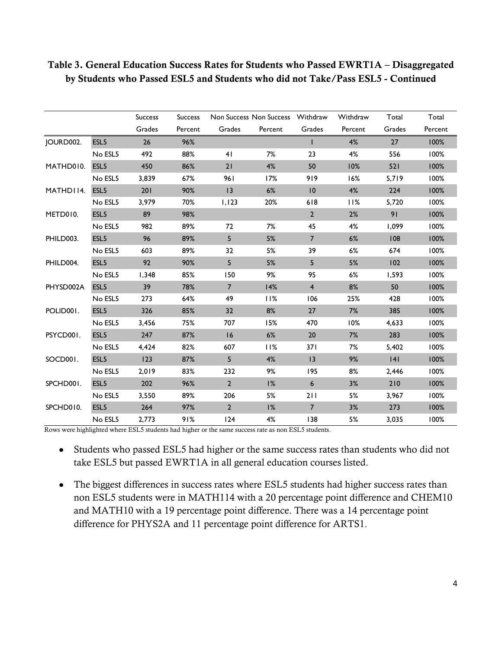|           |                  | <b>Success</b> | <b>Success</b> |                | Non Success Non Success Withdraw |                 | Withdraw | Total  | Total   |
|-----------|------------------|----------------|----------------|----------------|----------------------------------|-----------------|----------|--------|---------|
|           |                  | Grades         | Percent        | Grades         | Percent                          | Grades          | Percent  | Grades | Percent |
| JOURD002. | ESL <sub>5</sub> | 26             | 96%            |                |                                  | $\mathbf{I}$    | 4%       | 27     | 100%    |
|           | No ESL5          | 492            | 88%            | 41             | 7%                               | 23              | 4%       | 556    | 100%    |
| MATHD010. | ESL <sub>5</sub> | 450            | 86%            | 21             | 4%                               | 50              | 10%      | 521    | 100%    |
|           | No ESL5          | 3,839          | 67%            | 961            | 17%                              | 919             | 16%      | 5,719  | 100%    |
| MATHD114. | ESL <sub>5</sub> | 201            | 90%            | 13             | 6%                               | 10              | 4%       | 224    | 100%    |
|           | No ESL5          | 3,979          | 70%            | 1,123          | 20%                              | 618             | 11%      | 5,720  | 100%    |
| METD010.  | ESL <sub>5</sub> | 89             | 98%            |                |                                  | $\overline{2}$  | 2%       | 91     | 100%    |
|           | No ESL5          | 982            | 89%            | 72             | 7%                               | 45              | 4%       | 1,099  | 100%    |
| PHILD003. | ESL <sub>5</sub> | 96             | 89%            | 5              | 5%                               | $7\overline{ }$ | 6%       | 108    | 100%    |
|           | No ESL5          | 603            | 89%            | 32             | 5%                               | 39              | 6%       | 674    | 100%    |
| PHILD004. | ESL5             | 92             | 90%            | 5              | 5%                               | 5               | 5%       | 102    | 100%    |
|           | No ESL5          | 1,348          | 85%            | 150            | 9%                               | 95              | 6%       | 1,593  | 100%    |
| PHYSD002A | ESL <sub>5</sub> | 39             | 78%            | $\overline{7}$ | 14%                              | $\overline{4}$  | 8%       | 50     | 100%    |
|           | No ESL5          | 273            | 64%            | 49             | 11%                              | 106             | 25%      | 428    | 100%    |
| POLID001. | ESL <sub>5</sub> | 326            | 85%            | 32             | 8%                               | 27              | 7%       | 385    | 100%    |
|           | No ESL5          | 3,456          | 75%            | 707            | 15%                              | 470             | 10%      | 4,633  | 100%    |
| PSYCD001. | ESL5             | 247            | 87%            | 16             | 6%                               | 20              | 7%       | 283    | 100%    |
|           | No ESL5          | 4,424          | 82%            | 607            | 11%                              | 371             | 7%       | 5,402  | 100%    |
| SOCD001.  | ESL5             | 123            | 87%            | 5 <sup>5</sup> | 4%                               | 3               | 9%       | 4      | 100%    |
|           | No ESL5          | 2,019          | 83%            | 232            | 9%                               | 195             | 8%       | 2,446  | 100%    |
| SPCHD001. | ESL5             | 202            | 96%            | $\overline{2}$ | 1%                               | $\epsilon$      | 3%       | 210    | 100%    |
|           | No ESL5          | 3,550          | 89%            | 206            | 5%                               | 211             | 5%       | 3,967  | 100%    |
| SPCHD010. | ESL5             | 264            | 97%            | $\overline{2}$ | 1%                               | $\overline{7}$  | 3%       | 273    | 100%    |
|           | No ESL5          | 2.773          | 91%            | 124            | 4%                               | 138             | 5%       | 3,035  | 100%    |

### **Table 3. General Education Success Rates for Students who Passed EWRT1A – Disaggregated by Students who Passed ESL5 and Students who did not Take/Pass ESL5 - Continued**

Rows were highlighted where ESL5 students had higher or the same success rate as non ESL5 students.

- Students who passed ESL5 had higher or the same success rates than students who did not take ESL5 but passed EWRT1A in all general education courses listed.
- The biggest differences in success rates where ESL5 students had higher success rates than non ESL5 students were in MATH114 with a 20 percentage point difference and CHEM10 and MATH10 with a 19 percentage point difference. There was a 14 percentage point difference for PHYS2A and 11 percentage point difference for ARTS1.